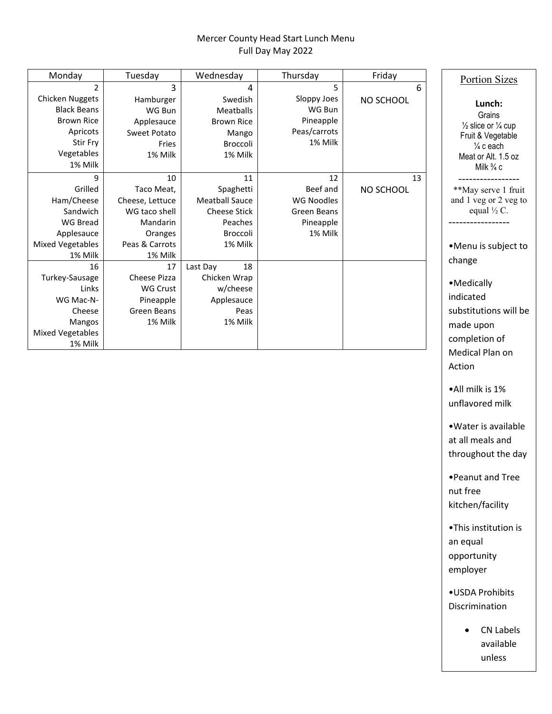## Mercer County Head Start Lunch Menu Full Day May 2022

| Monday                  | Tuesday         | Wednesday             | Thursday          | Friday    | <b>Portion Sizes</b>                     |
|-------------------------|-----------------|-----------------------|-------------------|-----------|------------------------------------------|
| $\mathfrak z$           | 3               | 4                     | 5                 | 6         |                                          |
| <b>Chicken Nuggets</b>  | Hamburger       | Swedish               | Sloppy Joes       | NO SCHOOL | Lunch:                                   |
| <b>Black Beans</b>      | WG Bun          | Meatballs             | WG Bun            |           | Grains                                   |
| <b>Brown Rice</b>       | Applesauce      | <b>Brown Rice</b>     | Pineapple         |           | $\frac{1}{2}$ slice or $\frac{1}{4}$ cup |
| Apricots                | Sweet Potato    | Mango                 | Peas/carrots      |           | Fruit & Vegetable                        |
| Stir Fry                | Fries           | Broccoli              | 1% Milk           |           | $\frac{1}{4}$ c each                     |
| Vegetables              | 1% Milk         | 1% Milk               |                   |           | Meat or Alt. 1.5 oz                      |
| 1% Milk                 |                 |                       |                   |           | Milk $\frac{3}{4}$ c                     |
| 9                       | 10              | 11                    | 12                | 13        |                                          |
| Grilled                 | Taco Meat,      | Spaghetti             | Beef and          | NO SCHOOL | **May serve 1 fru                        |
| Ham/Cheese              | Cheese, Lettuce | <b>Meatball Sauce</b> | <b>WG Noodles</b> |           | and 1 veg or 2 veg                       |
| Sandwich                | WG taco shell   | <b>Cheese Stick</b>   | Green Beans       |           | equal $\frac{1}{2}$ C.                   |
| <b>WG Bread</b>         | Mandarin        | Peaches               | Pineapple         |           |                                          |
| Applesauce              | Oranges         | Broccoli              | 1% Milk           |           |                                          |
| <b>Mixed Vegetables</b> | Peas & Carrots  | 1% Milk               |                   |           | •Menu is subject                         |
| 1% Milk                 | 1% Milk         |                       |                   |           | change                                   |
| 16                      | 17              | 18<br>Last Day        |                   |           |                                          |
| Turkey-Sausage          | Cheese Pizza    | Chicken Wrap          |                   |           | • Medically                              |
| Links                   | <b>WG Crust</b> | w/cheese              |                   |           |                                          |
| WG Mac-N-               | Pineapple       | Applesauce            |                   |           | indicated                                |
| Cheese                  | Green Beans     | Peas                  |                   |           | substitutions will                       |
| <b>Mangos</b>           | 1% Milk         | 1% Milk               |                   |           | made upon                                |
| <b>Mixed Vegetables</b> |                 |                       |                   |           | completion of                            |
| 1% Milk                 |                 |                       |                   |           | Madical Plan on                          |

nch: rains or  $\frac{1}{4}$  cup Vegetable each Alt. 1.5 oz  $k \frac{3}{4}c$ ---------------- erve 1 fruit or  $2$  veg to al ½ C. ---------------- subject to lly ions will be on on of Medical Plan on Action •All milk is 1% unflavored milk •Water is available at all meals and throughout the day •Peanut and Tree nut free kitchen/facility •This institution is an equal opportunity employer •USDA Prohibits Discrimination • CN Labels available unless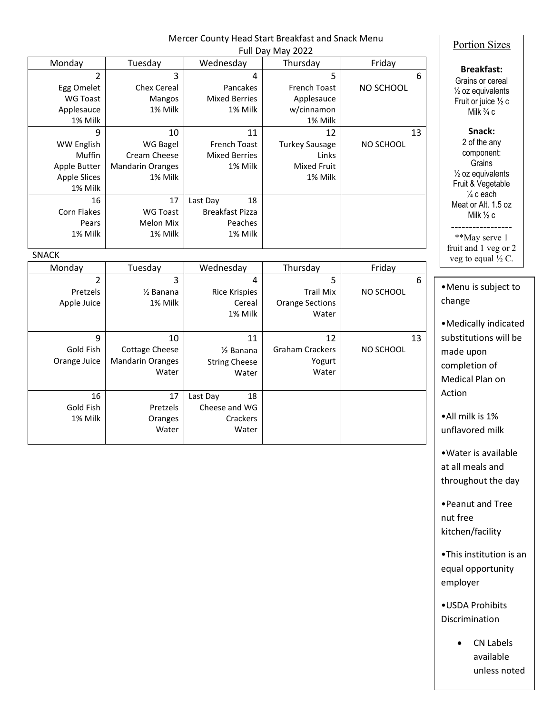|                                                                                    |                                                                      |                                                                | Mercer County Head Start Breakfast and Snack Menu<br>Full Day May 2022 |                 | <b>Portion Sizes</b>                                                                                                        |
|------------------------------------------------------------------------------------|----------------------------------------------------------------------|----------------------------------------------------------------|------------------------------------------------------------------------|-----------------|-----------------------------------------------------------------------------------------------------------------------------|
| Monday                                                                             | Tuesday                                                              | Wednesday                                                      | Thursday                                                               | Friday          |                                                                                                                             |
| $\overline{2}$<br>Egg Omelet<br><b>WG Toast</b><br>Applesauce<br>1% Milk           | 3<br><b>Chex Cereal</b><br>Mangos<br>1% Milk                         | 4<br>Pancakes<br><b>Mixed Berries</b><br>1% Milk               | 5<br>French Toast<br>Applesauce<br>w/cinnamon<br>1% Milk               | 6<br>NO SCHOOL  | <b>Breakfast:</b><br>Grains or cereal<br>1/2 oz equivalents<br>Fruit or juice $\frac{1}{2}$ c<br>Milk $\frac{3}{4}$ c       |
| 9<br><b>WW English</b><br>Muffin<br>Apple Butter<br><b>Apple Slices</b><br>1% Milk | 10<br>WG Bagel<br>Cream Cheese<br><b>Mandarin Oranges</b><br>1% Milk | 11<br>French Toast<br><b>Mixed Berries</b><br>1% Milk          | 12<br><b>Turkey Sausage</b><br>Links<br><b>Mixed Fruit</b><br>1% Milk  | 13<br>NO SCHOOL | Snack:<br>2 of the any<br>component:<br>Grains<br>$\frac{1}{2}$ oz equivalents<br>Fruit & Vegetable<br>$\frac{1}{4}$ c each |
| 16<br>Corn Flakes<br>Pears<br>1% Milk                                              | 17<br><b>WG Toast</b><br>Melon Mix<br>1% Milk                        | 18<br>Last Day<br><b>Breakfast Pizza</b><br>Peaches<br>1% Milk |                                                                        |                 | Meat or Alt. 1.5 oz<br>Milk $\frac{1}{2}$ c<br>**May serve 1                                                                |
| SNACK                                                                              |                                                                      |                                                                |                                                                        |                 | fruit and 1 veg or 2<br>veg to equal $\frac{1}{2}$ C.                                                                       |
| Monday                                                                             | Tuesday                                                              | Wednesday                                                      | Thursday                                                               | Friday          |                                                                                                                             |
| $\overline{2}$<br>Pretzels<br>Apple Juice                                          | 3<br>1/ <sub>2</sub> Banana<br>1% Milk                               | 4<br><b>Rice Krispies</b><br>Cereal<br>1% Milk                 | 5<br><b>Trail Mix</b><br><b>Orange Sections</b><br>Water               | 6<br>NO SCHOOL  | •Menu is subject to<br>change                                                                                               |
| 9<br>Gold Fish<br>Orange Juice                                                     | 10<br><b>Cottage Cheese</b><br><b>Mandarin Oranges</b><br>Water      | 11<br>$\frac{1}{2}$ Banana<br><b>String Cheese</b><br>Water    | 12<br><b>Graham Crackers</b><br>Yogurt<br>Water                        | 13<br>NO SCHOOL | • Medically indicated<br>substitutions will be<br>made upon<br>completion of<br>Medical Plan on                             |
| 16<br>Gold Fish<br>1% Milk                                                         | 17<br>Pretzels<br>Oranges<br>Water                                   | Last Day<br>18<br>Cheese and WG<br>Crackers<br>Water           |                                                                        |                 | Action<br>•All milk is 1%<br>unflavored milk                                                                                |
|                                                                                    |                                                                      |                                                                |                                                                        |                 | • Water is available<br>at all meals and<br>throughout the day                                                              |
|                                                                                    |                                                                      |                                                                |                                                                        |                 | • Peanut and Tree<br>nut free<br>kitchen/facility                                                                           |
|                                                                                    |                                                                      |                                                                |                                                                        |                 | .This institution is an<br>equal opportunity<br>employer                                                                    |
|                                                                                    |                                                                      |                                                                |                                                                        |                 | • USDA Prohibits<br>Discrimination                                                                                          |
|                                                                                    |                                                                      |                                                                |                                                                        |                 | CN Labels                                                                                                                   |

available unless noted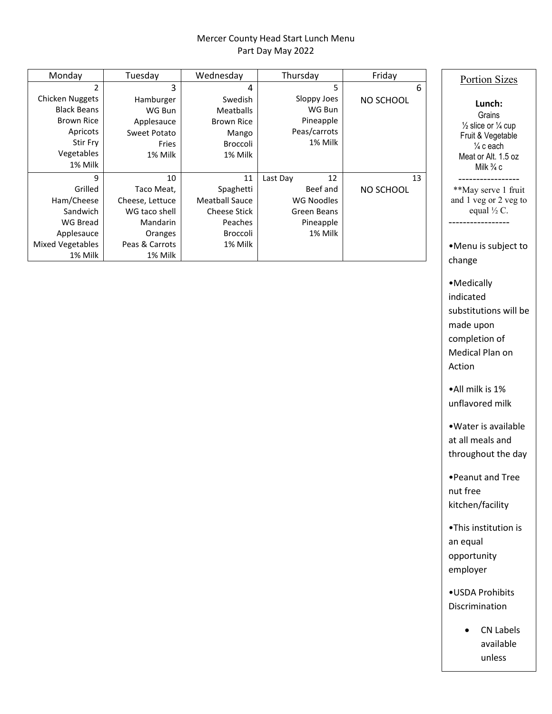## Mercer County Head Start Lunch Menu Part Day May 2022

| Monday                                                                                                      | Tuesday                                                               | Wednesday                                                                        | Thursday                                                      | Friday    | <b>Portion Sizes</b>                                                                                                                                     |
|-------------------------------------------------------------------------------------------------------------|-----------------------------------------------------------------------|----------------------------------------------------------------------------------|---------------------------------------------------------------|-----------|----------------------------------------------------------------------------------------------------------------------------------------------------------|
|                                                                                                             | 3                                                                     | 4                                                                                | 5                                                             | 6         |                                                                                                                                                          |
| Chicken Nuggets<br><b>Black Beans</b><br><b>Brown Rice</b><br>Apricots<br>Stir Fry<br>Vegetables<br>1% Milk | Hamburger<br>WG Bun<br>Applesauce<br>Sweet Potato<br>Fries<br>1% Milk | Swedish<br><b>Meatballs</b><br><b>Brown Rice</b><br>Mango<br>Broccoli<br>1% Milk | Sloppy Joes<br>WG Bun<br>Pineapple<br>Peas/carrots<br>1% Milk | NO SCHOOL | Lunch:<br>Grains<br>$\frac{1}{2}$ slice or $\frac{1}{4}$ cup<br>Fruit & Vegetable<br>$\frac{1}{4}$ c each<br>Meat or Alt. 1.5 oz<br>Milk $\frac{3}{4}$ c |
| 9                                                                                                           | 10                                                                    | 11                                                                               | 12<br>Last Day                                                | 13        |                                                                                                                                                          |
| Grilled                                                                                                     | Taco Meat,                                                            | Spaghetti                                                                        | Beef and                                                      | NO SCHOOL | **May serve 1 fruit                                                                                                                                      |
| Ham/Cheese                                                                                                  | Cheese, Lettuce                                                       | <b>Meatball Sauce</b>                                                            | WG Noodles                                                    |           | and 1 veg or 2 veg to                                                                                                                                    |
| Sandwich                                                                                                    | WG taco shell                                                         | <b>Cheese Stick</b>                                                              | Green Beans                                                   |           | equal $\frac{1}{2}$ C.                                                                                                                                   |
| <b>WG Bread</b>                                                                                             | <b>Mandarin</b>                                                       | Peaches                                                                          | Pineapple                                                     |           |                                                                                                                                                          |
| Applesauce                                                                                                  | Oranges                                                               | Broccoli                                                                         | 1% Milk                                                       |           |                                                                                                                                                          |
| <b>Mixed Vegetables</b>                                                                                     | Peas & Carrots                                                        | 1% Milk                                                                          |                                                               |           | •Menu is subject to                                                                                                                                      |
| 1% Milk                                                                                                     | 1% Milk                                                               |                                                                                  |                                                               |           | change                                                                                                                                                   |

•All milk is 1% unflavored milk

•Medically indicated

made upon completion of Medical Plan on

Action

substitutions will be

•Water is available at all meals and throughout the day

•Peanut and Tree nut free kitchen/facility

•This institution is an equal opportunity employer

•USDA Prohibits Discrimination

> • CN Labels available unless